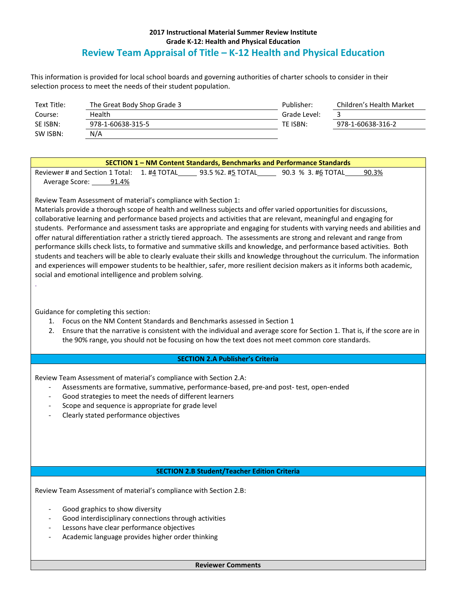## **2017 Instructional Material Summer Review Institute Grade K-12: Health and Physical Education Review Team Appraisal of Title – K-12 Health and Physical Education**

This information is provided for local school boards and governing authorities of charter schools to consider in their selection process to meet the needs of their student population.

| Text Title: | The Great Body Shop Grade 3 | Publisher:   | Children's Health Market |
|-------------|-----------------------------|--------------|--------------------------|
| Course:     | Health                      | Grade Level: |                          |
| SE ISBN:    | 978-1-60638-315-5           | TE ISBN:     | 978-1-60638-316-2        |
| SW ISBN:    | N/A                         |              |                          |

| SECTION 1 – NM Content Standards, Benchmarks and Performance Standards |       |  |                   |                    |       |  |  |  |
|------------------------------------------------------------------------|-------|--|-------------------|--------------------|-------|--|--|--|
| Reviewer # and Section 1 Total: 1. #4 TOTAL                            |       |  | 93.5 %2. #5 TOTAL | 90.3 % 3. #6 TOTAL | 90.3% |  |  |  |
| Average Score:                                                         | 91.4% |  |                   |                    |       |  |  |  |

Review Team Assessment of material's compliance with Section 1:

Materials provide a thorough scope of health and wellness subjects and offer varied opportunities for discussions, collaborative learning and performance based projects and activities that are relevant, meaningful and engaging for students. Performance and assessment tasks are appropriate and engaging for students with varying needs and abilities and offer natural differentiation rather a strictly tiered approach. The assessments are strong and relevant and range from performance skills check lists, to formative and summative skills and knowledge, and performance based activities. Both students and teachers will be able to clearly evaluate their skills and knowledge throughout the curriculum. The information and experiences will empower students to be healthier, safer, more resilient decision makers as it informs both academic, social and emotional intelligence and problem solving.

Guidance for completing this section:

.

- 1. Focus on the NM Content Standards and Benchmarks assessed in Section 1
- 2. Ensure that the narrative is consistent with the individual and average score for Section 1. That is, if the score are in the 90% range, you should not be focusing on how the text does not meet common core standards.

## **SECTION 2.A Publisher's Criteria**

Review Team Assessment of material's compliance with Section 2.A:

- Assessments are formative, summative, performance-based, pre-and post- test, open-ended
- Good strategies to meet the needs of different learners
- Scope and sequence is appropriate for grade level
- Clearly stated performance objectives

## **SECTION 2.B Student/Teacher Edition Criteria**

Review Team Assessment of material's compliance with Section 2.B:

- Good graphics to show diversity
- Good interdisciplinary connections through activities
- Lessons have clear performance objectives
- Academic language provides higher order thinking

**Reviewer Comments**